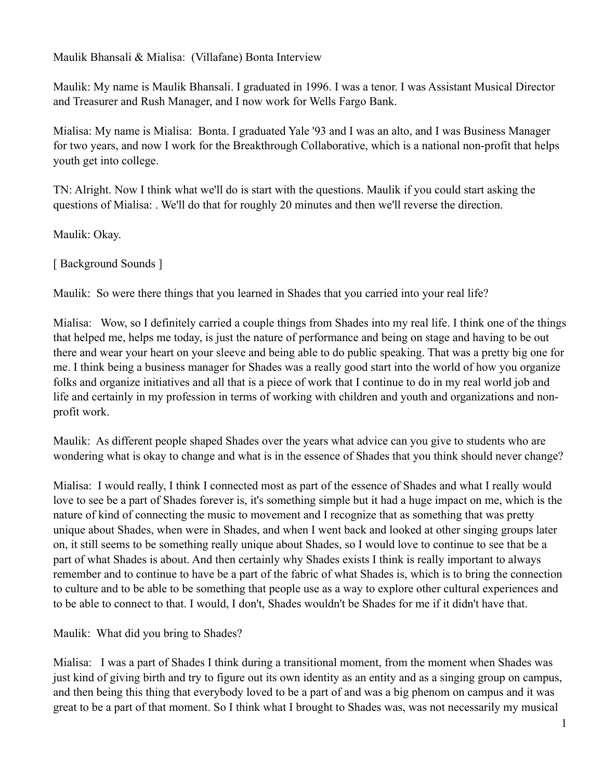Maulik Bhansali & Mialisa: (Villafane) Bonta Interview

Maulik: My name is Maulik Bhansali. I graduated in 1996. I was a tenor. I was Assistant Musical Director and Treasurer and Rush Manager, and I now work for Wells Fargo Bank.

Mialisa: My name is Mialisa: Bonta. I graduated Yale '93 and I was an alto, and I was Business Manager for two years, and now I work for the Breakthrough Collaborative, which is a national non-profit that helps youth get into college.

TN: Alright. Now I think what we'll do is start with the questions. Maulik if you could start asking the questions of Mialisa: . We'll do that for roughly 20 minutes and then we'll reverse the direction.

Maulik: Okay.

[ Background Sounds ]

Maulik: So were there things that you learned in Shades that you carried into your real life?

Mialisa: Wow, so I definitely carried a couple things from Shades into my real life. I think one of the things that helped me, helps me today, is just the nature of performance and being on stage and having to be out there and wear your heart on your sleeve and being able to do public speaking. That was a pretty big one for me. I think being a business manager for Shades was a really good start into the world of how you organize folks and organize initiatives and all that is a piece of work that I continue to do in my real world job and life and certainly in my profession in terms of working with children and youth and organizations and nonprofit work.

Maulik: As different people shaped Shades over the years what advice can you give to students who are wondering what is okay to change and what is in the essence of Shades that you think should never change?

Mialisa: I would really, I think I connected most as part of the essence of Shades and what I really would love to see be a part of Shades forever is, it's something simple but it had a huge impact on me, which is the nature of kind of connecting the music to movement and I recognize that as something that was pretty unique about Shades, when were in Shades, and when I went back and looked at other singing groups later on, it still seems to be something really unique about Shades, so I would love to continue to see that be a part of what Shades is about. And then certainly why Shades exists I think is really important to always remember and to continue to have be a part of the fabric of what Shades is, which is to bring the connection to culture and to be able to be something that people use as a way to explore other cultural experiences and to be able to connect to that. I would, I don't, Shades wouldn't be Shades for me if it didn't have that.

Maulik: What did you bring to Shades?

Mialisa: I was a part of Shades I think during a transitional moment, from the moment when Shades was just kind of giving birth and try to figure out its own identity as an entity and as a singing group on campus, and then being this thing that everybody loved to be a part of and was a big phenom on campus and it was great to be a part of that moment. So I think what I brought to Shades was, was not necessarily my musical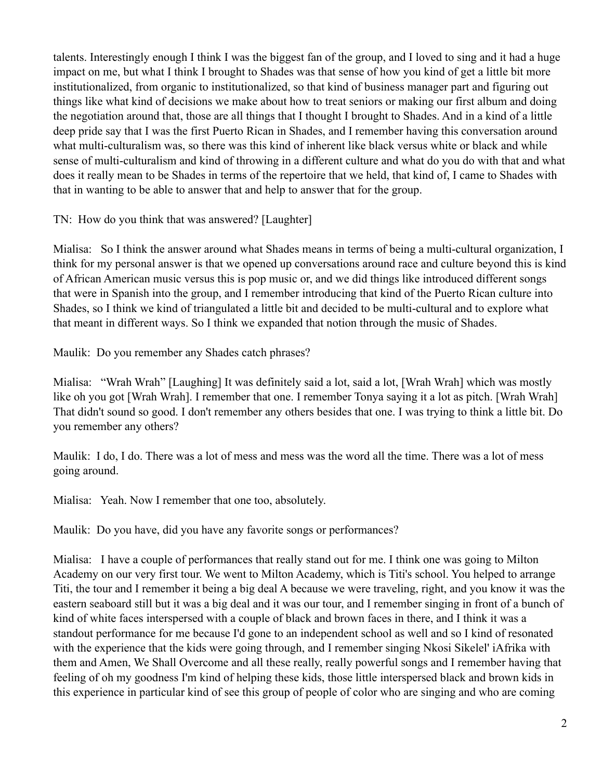talents. Interestingly enough I think I was the biggest fan of the group, and I loved to sing and it had a huge impact on me, but what I think I brought to Shades was that sense of how you kind of get a little bit more institutionalized, from organic to institutionalized, so that kind of business manager part and figuring out things like what kind of decisions we make about how to treat seniors or making our first album and doing the negotiation around that, those are all things that I thought I brought to Shades. And in a kind of a little deep pride say that I was the first Puerto Rican in Shades, and I remember having this conversation around what multi-culturalism was, so there was this kind of inherent like black versus white or black and while sense of multi-culturalism and kind of throwing in a different culture and what do you do with that and what does it really mean to be Shades in terms of the repertoire that we held, that kind of, I came to Shades with that in wanting to be able to answer that and help to answer that for the group.

TN: How do you think that was answered? [Laughter]

Mialisa: So I think the answer around what Shades means in terms of being a multi-cultural organization, I think for my personal answer is that we opened up conversations around race and culture beyond this is kind of African American music versus this is pop music or, and we did things like introduced different songs that were in Spanish into the group, and I remember introducing that kind of the Puerto Rican culture into Shades, so I think we kind of triangulated a little bit and decided to be multi-cultural and to explore what that meant in different ways. So I think we expanded that notion through the music of Shades.

Maulik: Do you remember any Shades catch phrases?

Mialisa: "Wrah Wrah" [Laughing] It was definitely said a lot, said a lot, [Wrah Wrah] which was mostly like oh you got [Wrah Wrah]. I remember that one. I remember Tonya saying it a lot as pitch. [Wrah Wrah] That didn't sound so good. I don't remember any others besides that one. I was trying to think a little bit. Do you remember any others?

Maulik: I do, I do. There was a lot of mess and mess was the word all the time. There was a lot of mess going around.

Mialisa: Yeah. Now I remember that one too, absolutely.

Maulik: Do you have, did you have any favorite songs or performances?

Mialisa: I have a couple of performances that really stand out for me. I think one was going to Milton Academy on our very first tour. We went to Milton Academy, which is Titi's school. You helped to arrange Titi, the tour and I remember it being a big deal A because we were traveling, right, and you know it was the eastern seaboard still but it was a big deal and it was our tour, and I remember singing in front of a bunch of kind of white faces interspersed with a couple of black and brown faces in there, and I think it was a standout performance for me because I'd gone to an independent school as well and so I kind of resonated with the experience that the kids were going through, and I remember singing Nkosi Sikelel' iAfrika with them and Amen, We Shall Overcome and all these really, really powerful songs and I remember having that feeling of oh my goodness I'm kind of helping these kids, those little interspersed black and brown kids in this experience in particular kind of see this group of people of color who are singing and who are coming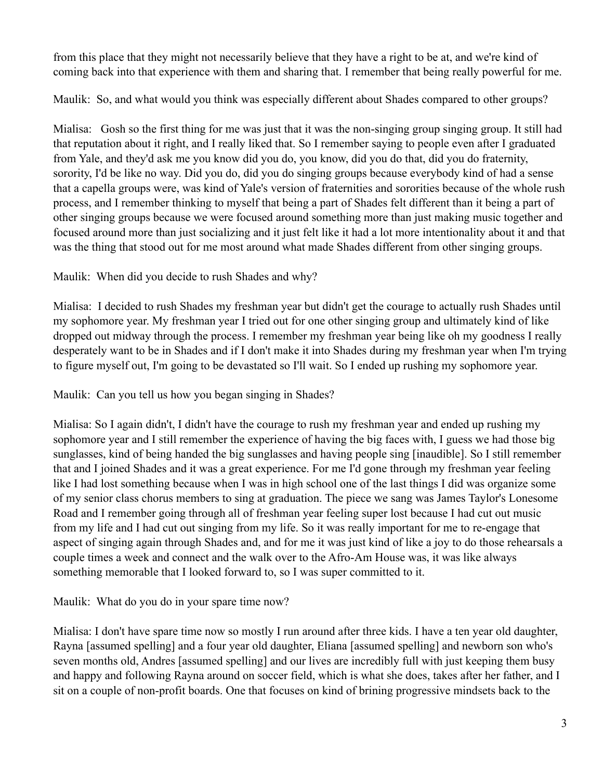from this place that they might not necessarily believe that they have a right to be at, and we're kind of coming back into that experience with them and sharing that. I remember that being really powerful for me.

Maulik: So, and what would you think was especially different about Shades compared to other groups?

Mialisa: Gosh so the first thing for me was just that it was the non-singing group singing group. It still had that reputation about it right, and I really liked that. So I remember saying to people even after I graduated from Yale, and they'd ask me you know did you do, you know, did you do that, did you do fraternity, sorority, I'd be like no way. Did you do, did you do singing groups because everybody kind of had a sense that a capella groups were, was kind of Yale's version of fraternities and sororities because of the whole rush process, and I remember thinking to myself that being a part of Shades felt different than it being a part of other singing groups because we were focused around something more than just making music together and focused around more than just socializing and it just felt like it had a lot more intentionality about it and that was the thing that stood out for me most around what made Shades different from other singing groups.

Maulik: When did you decide to rush Shades and why?

Mialisa: I decided to rush Shades my freshman year but didn't get the courage to actually rush Shades until my sophomore year. My freshman year I tried out for one other singing group and ultimately kind of like dropped out midway through the process. I remember my freshman year being like oh my goodness I really desperately want to be in Shades and if I don't make it into Shades during my freshman year when I'm trying to figure myself out, I'm going to be devastated so I'll wait. So I ended up rushing my sophomore year.

Maulik: Can you tell us how you began singing in Shades?

Mialisa: So I again didn't, I didn't have the courage to rush my freshman year and ended up rushing my sophomore year and I still remember the experience of having the big faces with, I guess we had those big sunglasses, kind of being handed the big sunglasses and having people sing [inaudible]. So I still remember that and I joined Shades and it was a great experience. For me I'd gone through my freshman year feeling like I had lost something because when I was in high school one of the last things I did was organize some of my senior class chorus members to sing at graduation. The piece we sang was James Taylor's Lonesome Road and I remember going through all of freshman year feeling super lost because I had cut out music from my life and I had cut out singing from my life. So it was really important for me to re-engage that aspect of singing again through Shades and, and for me it was just kind of like a joy to do those rehearsals a couple times a week and connect and the walk over to the Afro-Am House was, it was like always something memorable that I looked forward to, so I was super committed to it.

Maulik: What do you do in your spare time now?

Mialisa: I don't have spare time now so mostly I run around after three kids. I have a ten year old daughter, Rayna [assumed spelling] and a four year old daughter, Eliana [assumed spelling] and newborn son who's seven months old, Andres [assumed spelling] and our lives are incredibly full with just keeping them busy and happy and following Rayna around on soccer field, which is what she does, takes after her father, and I sit on a couple of non-profit boards. One that focuses on kind of brining progressive mindsets back to the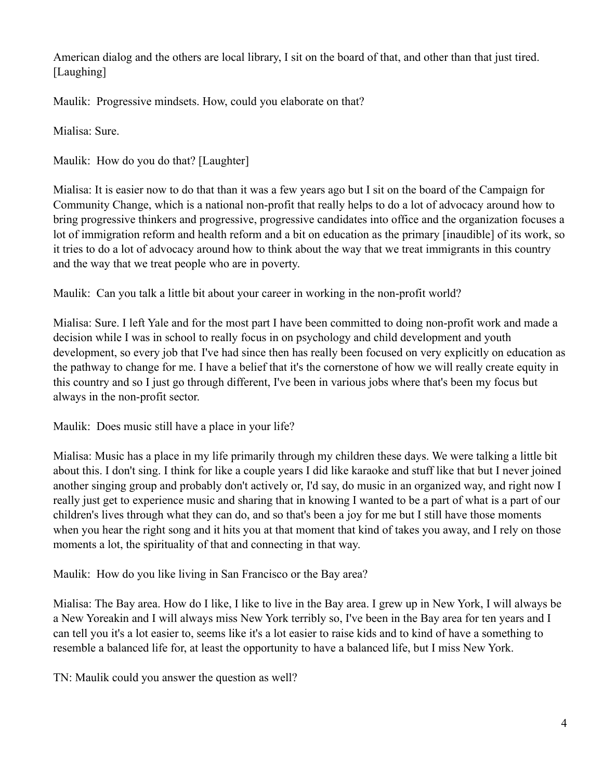American dialog and the others are local library, I sit on the board of that, and other than that just tired. [Laughing]

Maulik: Progressive mindsets. How, could you elaborate on that?

Mialisa: Sure.

Maulik: How do you do that? [Laughter]

Mialisa: It is easier now to do that than it was a few years ago but I sit on the board of the Campaign for Community Change, which is a national non-profit that really helps to do a lot of advocacy around how to bring progressive thinkers and progressive, progressive candidates into office and the organization focuses a lot of immigration reform and health reform and a bit on education as the primary [inaudible] of its work, so it tries to do a lot of advocacy around how to think about the way that we treat immigrants in this country and the way that we treat people who are in poverty.

Maulik: Can you talk a little bit about your career in working in the non-profit world?

Mialisa: Sure. I left Yale and for the most part I have been committed to doing non-profit work and made a decision while I was in school to really focus in on psychology and child development and youth development, so every job that I've had since then has really been focused on very explicitly on education as the pathway to change for me. I have a belief that it's the cornerstone of how we will really create equity in this country and so I just go through different, I've been in various jobs where that's been my focus but always in the non-profit sector.

Maulik: Does music still have a place in your life?

Mialisa: Music has a place in my life primarily through my children these days. We were talking a little bit about this. I don't sing. I think for like a couple years I did like karaoke and stuff like that but I never joined another singing group and probably don't actively or, I'd say, do music in an organized way, and right now I really just get to experience music and sharing that in knowing I wanted to be a part of what is a part of our children's lives through what they can do, and so that's been a joy for me but I still have those moments when you hear the right song and it hits you at that moment that kind of takes you away, and I rely on those moments a lot, the spirituality of that and connecting in that way.

Maulik: How do you like living in San Francisco or the Bay area?

Mialisa: The Bay area. How do I like, I like to live in the Bay area. I grew up in New York, I will always be a New Yoreakin and I will always miss New York terribly so, I've been in the Bay area for ten years and I can tell you it's a lot easier to, seems like it's a lot easier to raise kids and to kind of have a something to resemble a balanced life for, at least the opportunity to have a balanced life, but I miss New York.

TN: Maulik could you answer the question as well?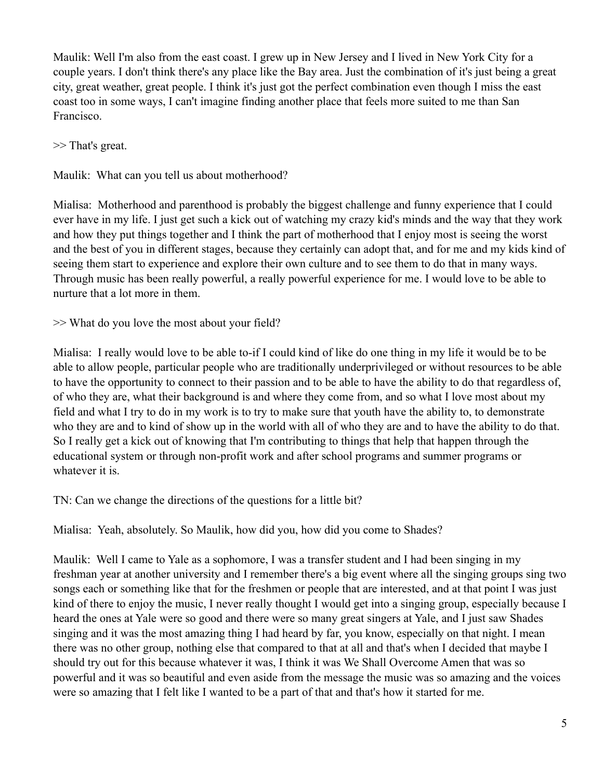Maulik: Well I'm also from the east coast. I grew up in New Jersey and I lived in New York City for a couple years. I don't think there's any place like the Bay area. Just the combination of it's just being a great city, great weather, great people. I think it's just got the perfect combination even though I miss the east coast too in some ways, I can't imagine finding another place that feels more suited to me than San Francisco.

>> That's great.

Maulik: What can you tell us about motherhood?

Mialisa: Motherhood and parenthood is probably the biggest challenge and funny experience that I could ever have in my life. I just get such a kick out of watching my crazy kid's minds and the way that they work and how they put things together and I think the part of motherhood that I enjoy most is seeing the worst and the best of you in different stages, because they certainly can adopt that, and for me and my kids kind of seeing them start to experience and explore their own culture and to see them to do that in many ways. Through music has been really powerful, a really powerful experience for me. I would love to be able to nurture that a lot more in them.

>> What do you love the most about your field?

Mialisa: I really would love to be able to-if I could kind of like do one thing in my life it would be to be able to allow people, particular people who are traditionally underprivileged or without resources to be able to have the opportunity to connect to their passion and to be able to have the ability to do that regardless of, of who they are, what their background is and where they come from, and so what I love most about my field and what I try to do in my work is to try to make sure that youth have the ability to, to demonstrate who they are and to kind of show up in the world with all of who they are and to have the ability to do that. So I really get a kick out of knowing that I'm contributing to things that help that happen through the educational system or through non-profit work and after school programs and summer programs or whatever it is.

TN: Can we change the directions of the questions for a little bit?

Mialisa: Yeah, absolutely. So Maulik, how did you, how did you come to Shades?

Maulik: Well I came to Yale as a sophomore, I was a transfer student and I had been singing in my freshman year at another university and I remember there's a big event where all the singing groups sing two songs each or something like that for the freshmen or people that are interested, and at that point I was just kind of there to enjoy the music, I never really thought I would get into a singing group, especially because I heard the ones at Yale were so good and there were so many great singers at Yale, and I just saw Shades singing and it was the most amazing thing I had heard by far, you know, especially on that night. I mean there was no other group, nothing else that compared to that at all and that's when I decided that maybe I should try out for this because whatever it was, I think it was We Shall Overcome Amen that was so powerful and it was so beautiful and even aside from the message the music was so amazing and the voices were so amazing that I felt like I wanted to be a part of that and that's how it started for me.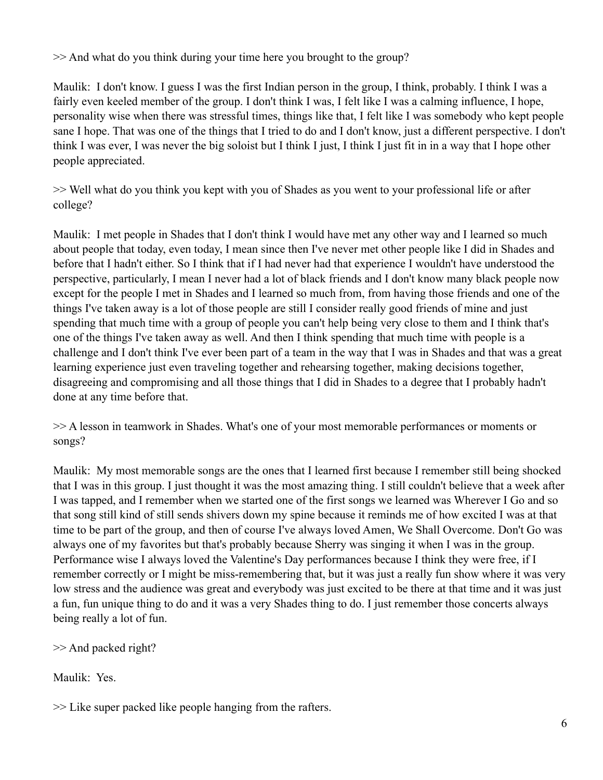>> And what do you think during your time here you brought to the group?

Maulik: I don't know. I guess I was the first Indian person in the group, I think, probably. I think I was a fairly even keeled member of the group. I don't think I was, I felt like I was a calming influence, I hope, personality wise when there was stressful times, things like that, I felt like I was somebody who kept people sane I hope. That was one of the things that I tried to do and I don't know, just a different perspective. I don't think I was ever, I was never the big soloist but I think I just, I think I just fit in in a way that I hope other people appreciated.

>> Well what do you think you kept with you of Shades as you went to your professional life or after college?

Maulik: I met people in Shades that I don't think I would have met any other way and I learned so much about people that today, even today, I mean since then I've never met other people like I did in Shades and before that I hadn't either. So I think that if I had never had that experience I wouldn't have understood the perspective, particularly, I mean I never had a lot of black friends and I don't know many black people now except for the people I met in Shades and I learned so much from, from having those friends and one of the things I've taken away is a lot of those people are still I consider really good friends of mine and just spending that much time with a group of people you can't help being very close to them and I think that's one of the things I've taken away as well. And then I think spending that much time with people is a challenge and I don't think I've ever been part of a team in the way that I was in Shades and that was a great learning experience just even traveling together and rehearsing together, making decisions together, disagreeing and compromising and all those things that I did in Shades to a degree that I probably hadn't done at any time before that.

>> A lesson in teamwork in Shades. What's one of your most memorable performances or moments or songs?

Maulik: My most memorable songs are the ones that I learned first because I remember still being shocked that I was in this group. I just thought it was the most amazing thing. I still couldn't believe that a week after I was tapped, and I remember when we started one of the first songs we learned was Wherever I Go and so that song still kind of still sends shivers down my spine because it reminds me of how excited I was at that time to be part of the group, and then of course I've always loved Amen, We Shall Overcome. Don't Go was always one of my favorites but that's probably because Sherry was singing it when I was in the group. Performance wise I always loved the Valentine's Day performances because I think they were free, if I remember correctly or I might be miss-remembering that, but it was just a really fun show where it was very low stress and the audience was great and everybody was just excited to be there at that time and it was just a fun, fun unique thing to do and it was a very Shades thing to do. I just remember those concerts always being really a lot of fun.

>> And packed right?

Maulik: Yes.

>> Like super packed like people hanging from the rafters.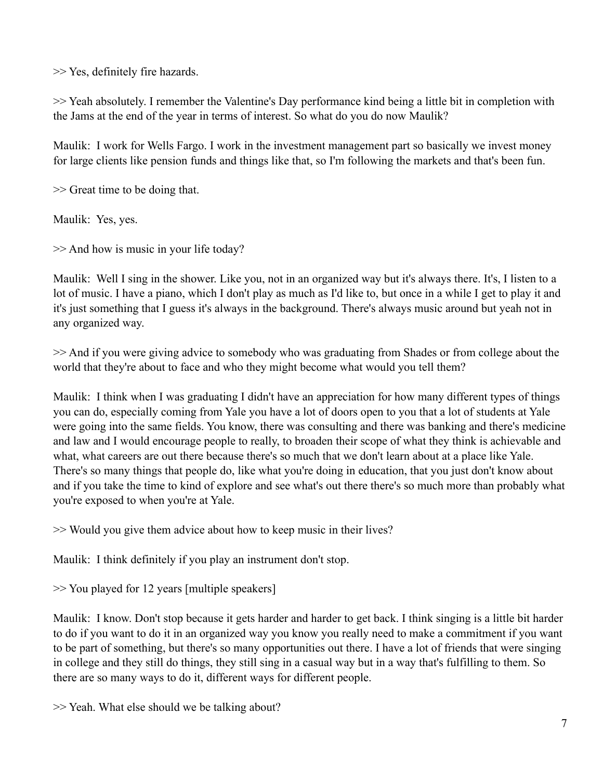>> Yes, definitely fire hazards.

>> Yeah absolutely. I remember the Valentine's Day performance kind being a little bit in completion with the Jams at the end of the year in terms of interest. So what do you do now Maulik?

Maulik: I work for Wells Fargo. I work in the investment management part so basically we invest money for large clients like pension funds and things like that, so I'm following the markets and that's been fun.

>> Great time to be doing that.

Maulik: Yes, yes.

>> And how is music in your life today?

Maulik: Well I sing in the shower. Like you, not in an organized way but it's always there. It's, I listen to a lot of music. I have a piano, which I don't play as much as I'd like to, but once in a while I get to play it and it's just something that I guess it's always in the background. There's always music around but yeah not in any organized way.

>> And if you were giving advice to somebody who was graduating from Shades or from college about the world that they're about to face and who they might become what would you tell them?

Maulik: I think when I was graduating I didn't have an appreciation for how many different types of things you can do, especially coming from Yale you have a lot of doors open to you that a lot of students at Yale were going into the same fields. You know, there was consulting and there was banking and there's medicine and law and I would encourage people to really, to broaden their scope of what they think is achievable and what, what careers are out there because there's so much that we don't learn about at a place like Yale. There's so many things that people do, like what you're doing in education, that you just don't know about and if you take the time to kind of explore and see what's out there there's so much more than probably what you're exposed to when you're at Yale.

>> Would you give them advice about how to keep music in their lives?

Maulik: I think definitely if you play an instrument don't stop.

>> You played for 12 years [multiple speakers]

Maulik: I know. Don't stop because it gets harder and harder to get back. I think singing is a little bit harder to do if you want to do it in an organized way you know you really need to make a commitment if you want to be part of something, but there's so many opportunities out there. I have a lot of friends that were singing in college and they still do things, they still sing in a casual way but in a way that's fulfilling to them. So there are so many ways to do it, different ways for different people.

>> Yeah. What else should we be talking about?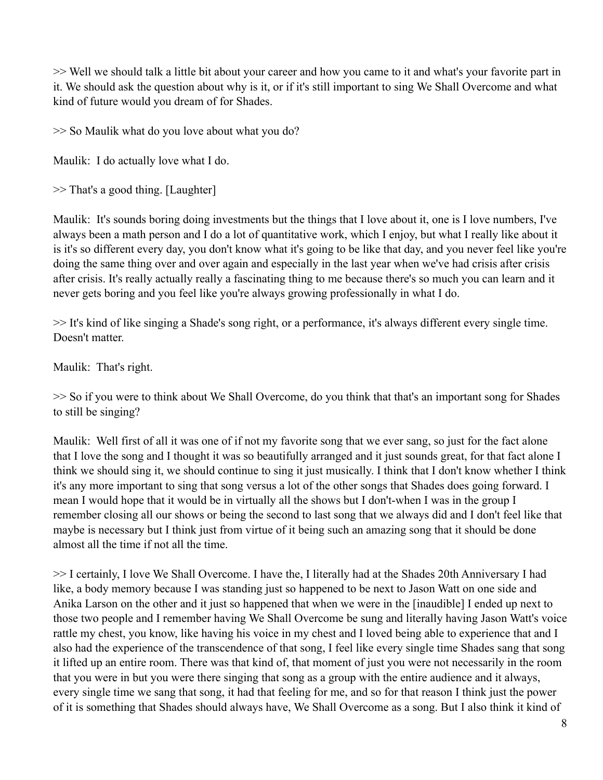>> Well we should talk a little bit about your career and how you came to it and what's your favorite part in it. We should ask the question about why is it, or if it's still important to sing We Shall Overcome and what kind of future would you dream of for Shades.

>> So Maulik what do you love about what you do?

Maulik: I do actually love what I do.

>> That's a good thing. [Laughter]

Maulik: It's sounds boring doing investments but the things that I love about it, one is I love numbers, I've always been a math person and I do a lot of quantitative work, which I enjoy, but what I really like about it is it's so different every day, you don't know what it's going to be like that day, and you never feel like you're doing the same thing over and over again and especially in the last year when we've had crisis after crisis after crisis. It's really actually really a fascinating thing to me because there's so much you can learn and it never gets boring and you feel like you're always growing professionally in what I do.

>> It's kind of like singing a Shade's song right, or a performance, it's always different every single time. Doesn't matter.

Maulik: That's right.

>> So if you were to think about We Shall Overcome, do you think that that's an important song for Shades to still be singing?

Maulik: Well first of all it was one of if not my favorite song that we ever sang, so just for the fact alone that I love the song and I thought it was so beautifully arranged and it just sounds great, for that fact alone I think we should sing it, we should continue to sing it just musically. I think that I don't know whether I think it's any more important to sing that song versus a lot of the other songs that Shades does going forward. I mean I would hope that it would be in virtually all the shows but I don't-when I was in the group I remember closing all our shows or being the second to last song that we always did and I don't feel like that maybe is necessary but I think just from virtue of it being such an amazing song that it should be done almost all the time if not all the time.

>> I certainly, I love We Shall Overcome. I have the, I literally had at the Shades 20th Anniversary I had like, a body memory because I was standing just so happened to be next to Jason Watt on one side and Anika Larson on the other and it just so happened that when we were in the [inaudible] I ended up next to those two people and I remember having We Shall Overcome be sung and literally having Jason Watt's voice rattle my chest, you know, like having his voice in my chest and I loved being able to experience that and I also had the experience of the transcendence of that song, I feel like every single time Shades sang that song it lifted up an entire room. There was that kind of, that moment of just you were not necessarily in the room that you were in but you were there singing that song as a group with the entire audience and it always, every single time we sang that song, it had that feeling for me, and so for that reason I think just the power of it is something that Shades should always have, We Shall Overcome as a song. But I also think it kind of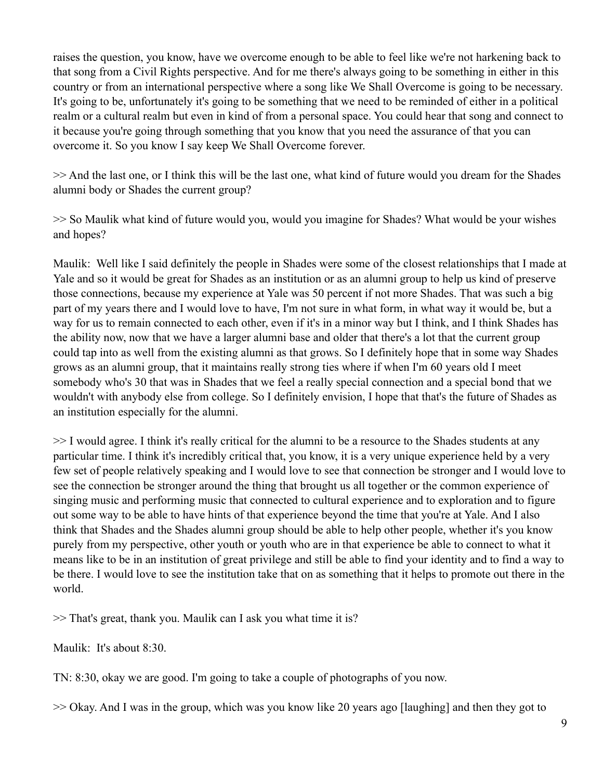raises the question, you know, have we overcome enough to be able to feel like we're not harkening back to that song from a Civil Rights perspective. And for me there's always going to be something in either in this country or from an international perspective where a song like We Shall Overcome is going to be necessary. It's going to be, unfortunately it's going to be something that we need to be reminded of either in a political realm or a cultural realm but even in kind of from a personal space. You could hear that song and connect to it because you're going through something that you know that you need the assurance of that you can overcome it. So you know I say keep We Shall Overcome forever.

>> And the last one, or I think this will be the last one, what kind of future would you dream for the Shades alumni body or Shades the current group?

>> So Maulik what kind of future would you, would you imagine for Shades? What would be your wishes and hopes?

Maulik: Well like I said definitely the people in Shades were some of the closest relationships that I made at Yale and so it would be great for Shades as an institution or as an alumni group to help us kind of preserve those connections, because my experience at Yale was 50 percent if not more Shades. That was such a big part of my years there and I would love to have, I'm not sure in what form, in what way it would be, but a way for us to remain connected to each other, even if it's in a minor way but I think, and I think Shades has the ability now, now that we have a larger alumni base and older that there's a lot that the current group could tap into as well from the existing alumni as that grows. So I definitely hope that in some way Shades grows as an alumni group, that it maintains really strong ties where if when I'm 60 years old I meet somebody who's 30 that was in Shades that we feel a really special connection and a special bond that we wouldn't with anybody else from college. So I definitely envision, I hope that that's the future of Shades as an institution especially for the alumni.

>> I would agree. I think it's really critical for the alumni to be a resource to the Shades students at any particular time. I think it's incredibly critical that, you know, it is a very unique experience held by a very few set of people relatively speaking and I would love to see that connection be stronger and I would love to see the connection be stronger around the thing that brought us all together or the common experience of singing music and performing music that connected to cultural experience and to exploration and to figure out some way to be able to have hints of that experience beyond the time that you're at Yale. And I also think that Shades and the Shades alumni group should be able to help other people, whether it's you know purely from my perspective, other youth or youth who are in that experience be able to connect to what it means like to be in an institution of great privilege and still be able to find your identity and to find a way to be there. I would love to see the institution take that on as something that it helps to promote out there in the world.

>> That's great, thank you. Maulik can I ask you what time it is?

Maulik: It's about 8:30.

TN: 8:30, okay we are good. I'm going to take a couple of photographs of you now.

>> Okay. And I was in the group, which was you know like 20 years ago [laughing] and then they got to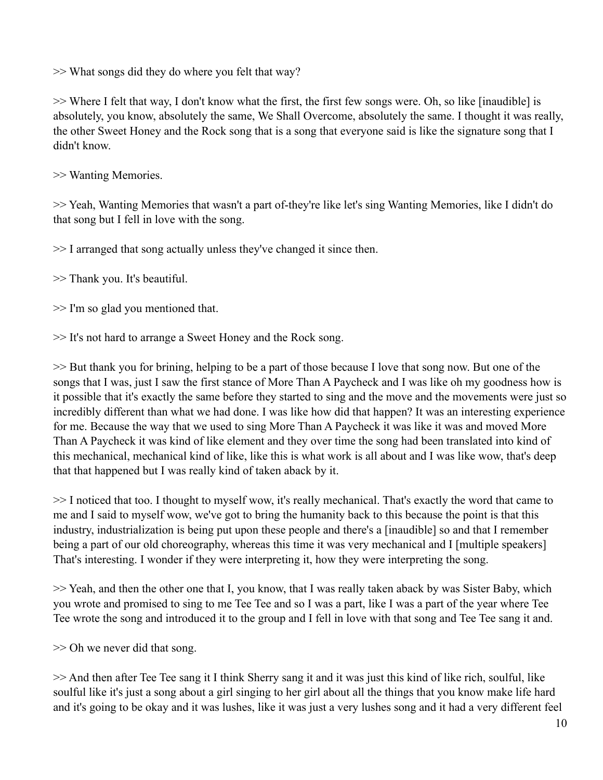>> What songs did they do where you felt that way?

>> Where I felt that way, I don't know what the first, the first few songs were. Oh, so like [inaudible] is absolutely, you know, absolutely the same, We Shall Overcome, absolutely the same. I thought it was really, the other Sweet Honey and the Rock song that is a song that everyone said is like the signature song that I didn't know.

>> Wanting Memories.

>> Yeah, Wanting Memories that wasn't a part of-they're like let's sing Wanting Memories, like I didn't do that song but I fell in love with the song.

>> I arranged that song actually unless they've changed it since then.

>> Thank you. It's beautiful.

>> I'm so glad you mentioned that.

>> It's not hard to arrange a Sweet Honey and the Rock song.

>> But thank you for brining, helping to be a part of those because I love that song now. But one of the songs that I was, just I saw the first stance of More Than A Paycheck and I was like oh my goodness how is it possible that it's exactly the same before they started to sing and the move and the movements were just so incredibly different than what we had done. I was like how did that happen? It was an interesting experience for me. Because the way that we used to sing More Than A Paycheck it was like it was and moved More Than A Paycheck it was kind of like element and they over time the song had been translated into kind of this mechanical, mechanical kind of like, like this is what work is all about and I was like wow, that's deep that that happened but I was really kind of taken aback by it.

>> I noticed that too. I thought to myself wow, it's really mechanical. That's exactly the word that came to me and I said to myself wow, we've got to bring the humanity back to this because the point is that this industry, industrialization is being put upon these people and there's a [inaudible] so and that I remember being a part of our old choreography, whereas this time it was very mechanical and I [multiple speakers] That's interesting. I wonder if they were interpreting it, how they were interpreting the song.

>> Yeah, and then the other one that I, you know, that I was really taken aback by was Sister Baby, which you wrote and promised to sing to me Tee Tee and so I was a part, like I was a part of the year where Tee Tee wrote the song and introduced it to the group and I fell in love with that song and Tee Tee sang it and.

>> Oh we never did that song.

>> And then after Tee Tee sang it I think Sherry sang it and it was just this kind of like rich, soulful, like soulful like it's just a song about a girl singing to her girl about all the things that you know make life hard and it's going to be okay and it was lushes, like it was just a very lushes song and it had a very different feel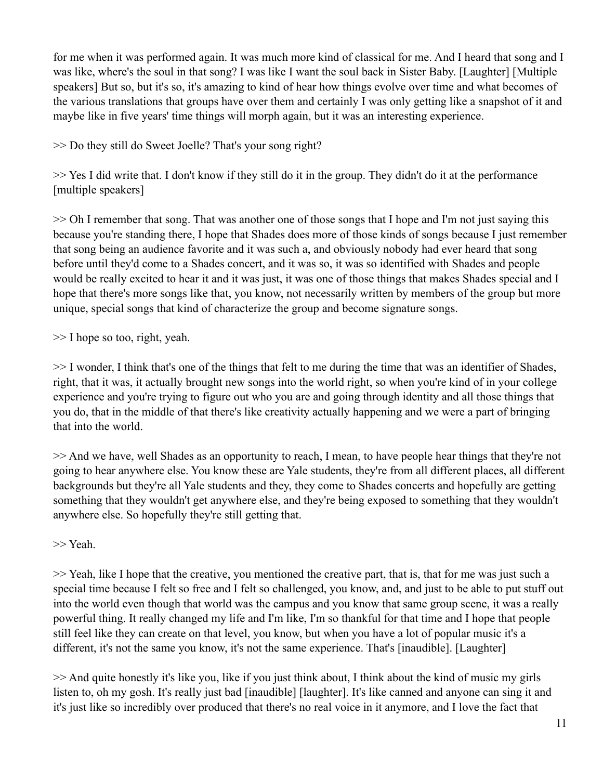for me when it was performed again. It was much more kind of classical for me. And I heard that song and I was like, where's the soul in that song? I was like I want the soul back in Sister Baby. [Laughter] [Multiple speakers] But so, but it's so, it's amazing to kind of hear how things evolve over time and what becomes of the various translations that groups have over them and certainly I was only getting like a snapshot of it and maybe like in five years' time things will morph again, but it was an interesting experience.

>> Do they still do Sweet Joelle? That's your song right?

>> Yes I did write that. I don't know if they still do it in the group. They didn't do it at the performance [multiple speakers]

>> Oh I remember that song. That was another one of those songs that I hope and I'm not just saying this because you're standing there, I hope that Shades does more of those kinds of songs because I just remember that song being an audience favorite and it was such a, and obviously nobody had ever heard that song before until they'd come to a Shades concert, and it was so, it was so identified with Shades and people would be really excited to hear it and it was just, it was one of those things that makes Shades special and I hope that there's more songs like that, you know, not necessarily written by members of the group but more unique, special songs that kind of characterize the group and become signature songs.

>> I hope so too, right, yeah.

>> I wonder, I think that's one of the things that felt to me during the time that was an identifier of Shades, right, that it was, it actually brought new songs into the world right, so when you're kind of in your college experience and you're trying to figure out who you are and going through identity and all those things that you do, that in the middle of that there's like creativity actually happening and we were a part of bringing that into the world.

>> And we have, well Shades as an opportunity to reach, I mean, to have people hear things that they're not going to hear anywhere else. You know these are Yale students, they're from all different places, all different backgrounds but they're all Yale students and they, they come to Shades concerts and hopefully are getting something that they wouldn't get anywhere else, and they're being exposed to something that they wouldn't anywhere else. So hopefully they're still getting that.

>> Yeah.

>> Yeah, like I hope that the creative, you mentioned the creative part, that is, that for me was just such a special time because I felt so free and I felt so challenged, you know, and, and just to be able to put stuff out into the world even though that world was the campus and you know that same group scene, it was a really powerful thing. It really changed my life and I'm like, I'm so thankful for that time and I hope that people still feel like they can create on that level, you know, but when you have a lot of popular music it's a different, it's not the same you know, it's not the same experience. That's [inaudible]. [Laughter]

>> And quite honestly it's like you, like if you just think about, I think about the kind of music my girls listen to, oh my gosh. It's really just bad [inaudible] [laughter]. It's like canned and anyone can sing it and it's just like so incredibly over produced that there's no real voice in it anymore, and I love the fact that